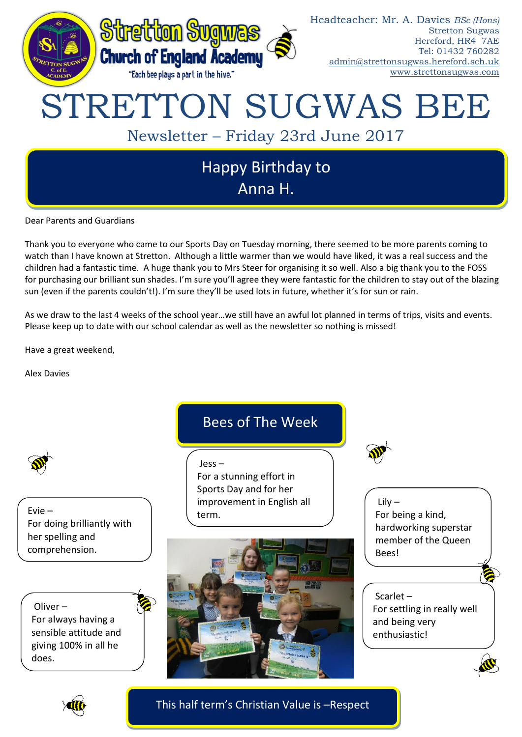

Dear Parents and Guardians

Thank you to everyone who came to our Sports Day on Tuesday morning, there seemed to be more parents coming to watch than I have known at Stretton. Although a little warmer than we would have liked, it was a real success and the children had a fantastic time. A huge thank you to Mrs Steer for organising it so well. Also a big thank you to the FOSS for purchasing our brilliant sun shades. I'm sure you'll agree they were fantastic for the children to stay out of the blazing sun (even if the parents couldn't!). I'm sure they'll be used lots in future, whether it's for sun or rain.

As we draw to the last 4 weeks of the school year…we still have an awful lot planned in terms of trips, visits and events. Please keep up to date with our school calendar as well as the newsletter so nothing is missed!

Have a great weekend,

Alex Davies



Evie – For doing brilliantly with her spelling and comprehension.

Oliver – For always having a sensible attitude and giving 100% in all he does.

## Bees of The Week

Jess – For a stunning effort in Sports Day and for her improvement in English all term.



Lily – For being a kind, hardworking superstar member of the Queen Bees!

## Scarlet – For settling in really well and being very enthusiastic!



This half term's Christian Value is –Respect